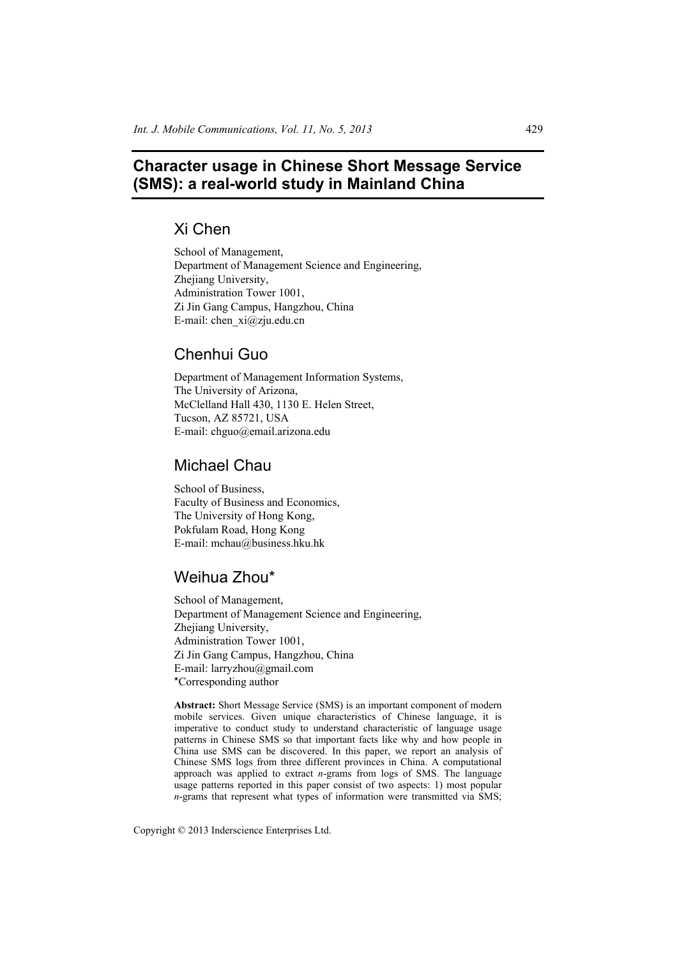# **Character usage in Chinese Short Message Service (SMS): a real-world study in Mainland China**

## Xi Chen

School of Management, Department of Management Science and Engineering, Zhejiang University, Administration Tower 1001, Zi Jin Gang Campus, Hangzhou, China E-mail: chen  $xi@zju.edu.cn$ 

# Chenhui Guo

Department of Management Information Systems, The University of Arizona, McClelland Hall 430, 1130 E. Helen Street, Tucson, AZ 85721, USA E-mail: chguo@email.arizona.edu

## Michael Chau

School of Business, Faculty of Business and Economics, The University of Hong Kong, Pokfulam Road, Hong Kong E-mail: mchau@business.hku.hk

# Weihua Zhou\*

School of Management, Department of Management Science and Engineering, Zhejiang University, Administration Tower 1001, Zi Jin Gang Campus, Hangzhou, China E-mail: larryzhou@gmail.com \*Corresponding author

**Abstract:** Short Message Service (SMS) is an important component of modern mobile services. Given unique characteristics of Chinese language, it is imperative to conduct study to understand characteristic of language usage patterns in Chinese SMS so that important facts like why and how people in China use SMS can be discovered. In this paper, we report an analysis of Chinese SMS logs from three different provinces in China. A computational approach was applied to extract *n*-grams from logs of SMS. The language usage patterns reported in this paper consist of two aspects: 1) most popular *n*-grams that represent what types of information were transmitted via SMS;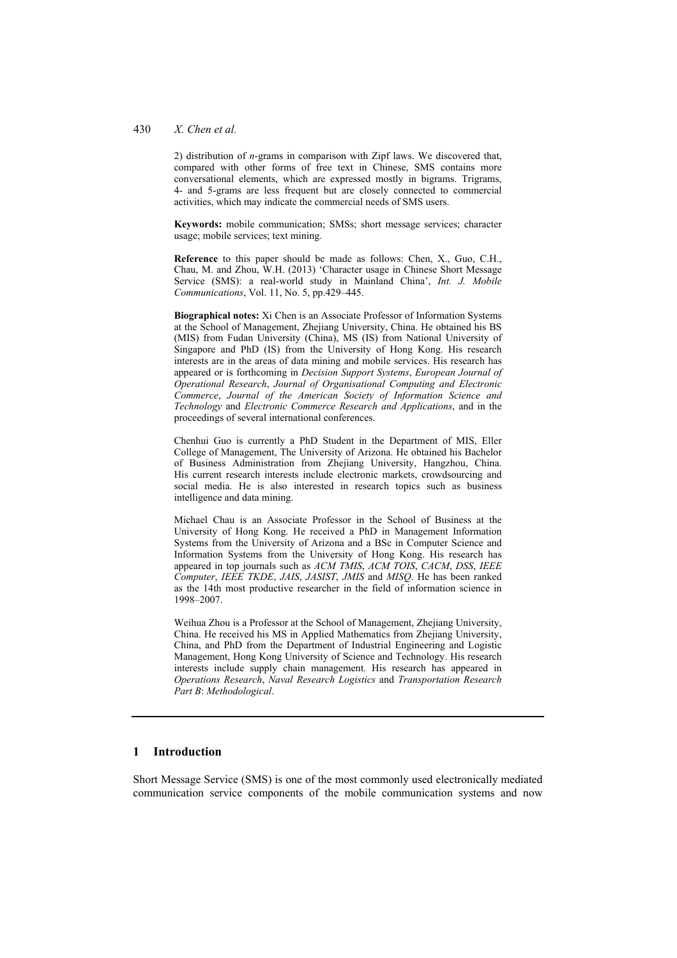2) distribution of *n*-grams in comparison with Zipf laws. We discovered that, compared with other forms of free text in Chinese, SMS contains more conversational elements, which are expressed mostly in bigrams. Trigrams, 4- and 5-grams are less frequent but are closely connected to commercial activities, which may indicate the commercial needs of SMS users.

**Keywords:** mobile communication; SMSs; short message services; character usage; mobile services; text mining.

**Reference** to this paper should be made as follows: Chen, X., Guo, C.H., Chau, M. and Zhou, W.H. (2013) 'Character usage in Chinese Short Message Service (SMS): a real-world study in Mainland China', *Int. J. Mobile Communications*, Vol. 11, No. 5, pp.429–445.

**Biographical notes:** Xi Chen is an Associate Professor of Information Systems at the School of Management, Zhejiang University, China. He obtained his BS (MIS) from Fudan University (China), MS (IS) from National University of Singapore and PhD (IS) from the University of Hong Kong. His research interests are in the areas of data mining and mobile services. His research has appeared or is forthcoming in *Decision Support Systems*, *European Journal of Operational Research*, *Journal of Organisational Computing and Electronic Commerce*, *Journal of the American Society of Information Science and Technology* and *Electronic Commerce Research and Applications*, and in the proceedings of several international conferences.

Chenhui Guo is currently a PhD Student in the Department of MIS, Eller College of Management, The University of Arizona. He obtained his Bachelor of Business Administration from Zhejiang University, Hangzhou, China. His current research interests include electronic markets, crowdsourcing and social media. He is also interested in research topics such as business intelligence and data mining.

Michael Chau is an Associate Professor in the School of Business at the University of Hong Kong. He received a PhD in Management Information Systems from the University of Arizona and a BSc in Computer Science and Information Systems from the University of Hong Kong. His research has appeared in top journals such as *ACM TMIS*, *ACM TOIS*, *CACM*, *DSS*, *IEEE Computer*, *IEEE TKDE*, *JAIS*, *JASIST*, *JMIS* and *MISQ*. He has been ranked as the 14th most productive researcher in the field of information science in 1998–2007.

Weihua Zhou is a Professor at the School of Management, Zhejiang University, China. He received his MS in Applied Mathematics from Zhejiang University, China, and PhD from the Department of Industrial Engineering and Logistic Management, Hong Kong University of Science and Technology. His research interests include supply chain management. His research has appeared in *Operations Research*, *Naval Research Logistics* and *Transportation Research Part B*: *Methodological*.

### **1 Introduction**

Short Message Service (SMS) is one of the most commonly used electronically mediated communication service components of the mobile communication systems and now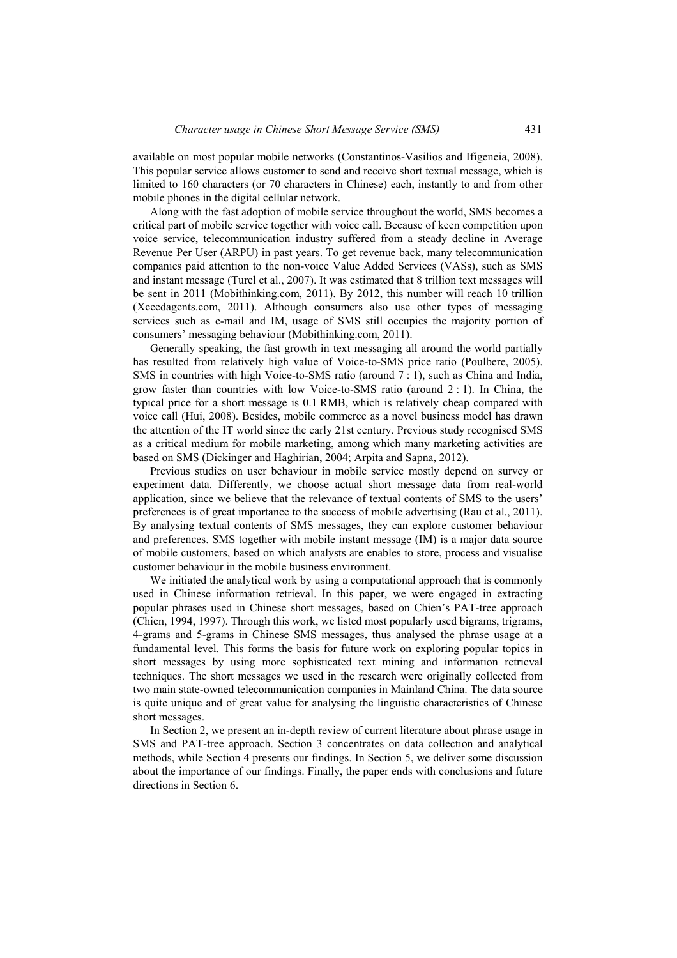available on most popular mobile networks (Constantinos-Vasilios and Ifigeneia, 2008). This popular service allows customer to send and receive short textual message, which is limited to 160 characters (or 70 characters in Chinese) each, instantly to and from other mobile phones in the digital cellular network.

Along with the fast adoption of mobile service throughout the world, SMS becomes a critical part of mobile service together with voice call. Because of keen competition upon voice service, telecommunication industry suffered from a steady decline in Average Revenue Per User (ARPU) in past years. To get revenue back, many telecommunication companies paid attention to the non-voice Value Added Services (VASs), such as SMS and instant message (Turel et al., 2007). It was estimated that 8 trillion text messages will be sent in 2011 (Mobithinking.com, 2011). By 2012, this number will reach 10 trillion (Xceedagents.com, 2011). Although consumers also use other types of messaging services such as e-mail and IM, usage of SMS still occupies the majority portion of consumers' messaging behaviour (Mobithinking.com, 2011).

Generally speaking, the fast growth in text messaging all around the world partially has resulted from relatively high value of Voice-to-SMS price ratio (Poulbere, 2005). SMS in countries with high Voice-to-SMS ratio (around 7 : 1), such as China and India, grow faster than countries with low Voice-to-SMS ratio (around 2 : 1). In China, the typical price for a short message is 0.1 RMB, which is relatively cheap compared with voice call (Hui, 2008). Besides, mobile commerce as a novel business model has drawn the attention of the IT world since the early 21st century. Previous study recognised SMS as a critical medium for mobile marketing, among which many marketing activities are based on SMS (Dickinger and Haghirian, 2004; Arpita and Sapna, 2012).

Previous studies on user behaviour in mobile service mostly depend on survey or experiment data. Differently, we choose actual short message data from real-world application, since we believe that the relevance of textual contents of SMS to the users' preferences is of great importance to the success of mobile advertising (Rau et al., 2011). By analysing textual contents of SMS messages, they can explore customer behaviour and preferences. SMS together with mobile instant message (IM) is a major data source of mobile customers, based on which analysts are enables to store, process and visualise customer behaviour in the mobile business environment.

We initiated the analytical work by using a computational approach that is commonly used in Chinese information retrieval. In this paper, we were engaged in extracting popular phrases used in Chinese short messages, based on Chien's PAT-tree approach (Chien, 1994, 1997). Through this work, we listed most popularly used bigrams, trigrams, 4-grams and 5-grams in Chinese SMS messages, thus analysed the phrase usage at a fundamental level. This forms the basis for future work on exploring popular topics in short messages by using more sophisticated text mining and information retrieval techniques. The short messages we used in the research were originally collected from two main state-owned telecommunication companies in Mainland China. The data source is quite unique and of great value for analysing the linguistic characteristics of Chinese short messages.

In Section 2, we present an in-depth review of current literature about phrase usage in SMS and PAT-tree approach. Section 3 concentrates on data collection and analytical methods, while Section 4 presents our findings. In Section 5, we deliver some discussion about the importance of our findings. Finally, the paper ends with conclusions and future directions in Section 6.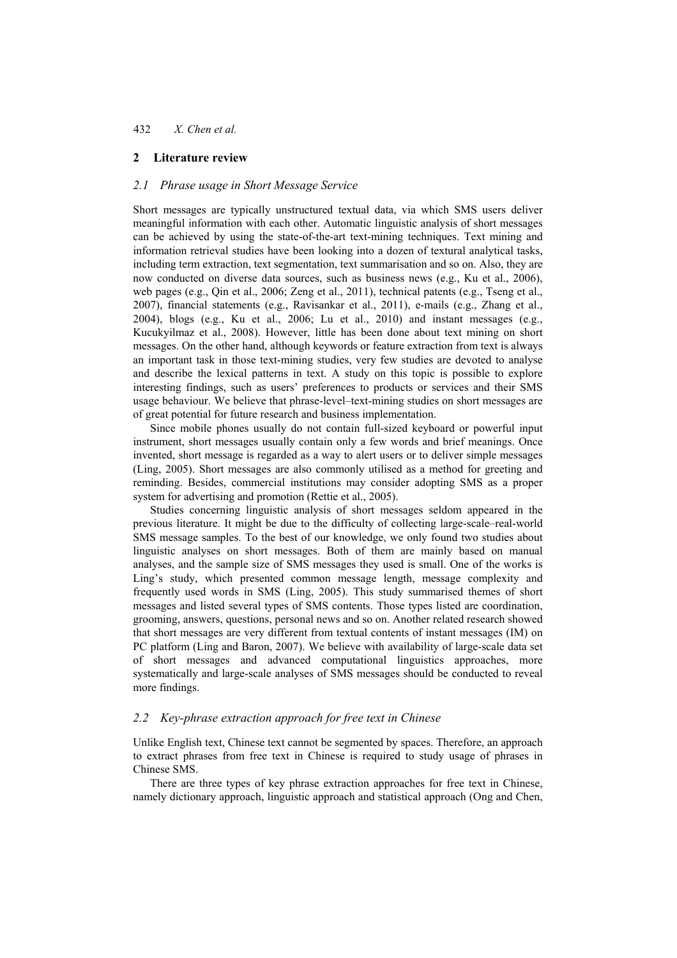#### **2 Literature review**

#### *2.1 Phrase usage in Short Message Service*

Short messages are typically unstructured textual data, via which SMS users deliver meaningful information with each other. Automatic linguistic analysis of short messages can be achieved by using the state-of-the-art text-mining techniques. Text mining and information retrieval studies have been looking into a dozen of textural analytical tasks, including term extraction, text segmentation, text summarisation and so on. Also, they are now conducted on diverse data sources, such as business news (e.g., Ku et al., 2006), web pages (e.g., Qin et al., 2006; Zeng et al., 2011), technical patents (e.g., Tseng et al., 2007), financial statements (e.g., Ravisankar et al., 2011), e-mails (e.g., Zhang et al., 2004), blogs (e.g., Ku et al., 2006; Lu et al., 2010) and instant messages (e.g., Kucukyilmaz et al., 2008). However, little has been done about text mining on short messages. On the other hand, although keywords or feature extraction from text is always an important task in those text-mining studies, very few studies are devoted to analyse and describe the lexical patterns in text. A study on this topic is possible to explore interesting findings, such as users' preferences to products or services and their SMS usage behaviour. We believe that phrase-level–text-mining studies on short messages are of great potential for future research and business implementation.

Since mobile phones usually do not contain full-sized keyboard or powerful input instrument, short messages usually contain only a few words and brief meanings. Once invented, short message is regarded as a way to alert users or to deliver simple messages (Ling, 2005). Short messages are also commonly utilised as a method for greeting and reminding. Besides, commercial institutions may consider adopting SMS as a proper system for advertising and promotion (Rettie et al., 2005).

Studies concerning linguistic analysis of short messages seldom appeared in the previous literature. It might be due to the difficulty of collecting large-scale–real-world SMS message samples. To the best of our knowledge, we only found two studies about linguistic analyses on short messages. Both of them are mainly based on manual analyses, and the sample size of SMS messages they used is small. One of the works is Ling's study, which presented common message length, message complexity and frequently used words in SMS (Ling, 2005). This study summarised themes of short messages and listed several types of SMS contents. Those types listed are coordination, grooming, answers, questions, personal news and so on. Another related research showed that short messages are very different from textual contents of instant messages (IM) on PC platform (Ling and Baron, 2007). We believe with availability of large-scale data set of short messages and advanced computational linguistics approaches, more systematically and large-scale analyses of SMS messages should be conducted to reveal more findings.

#### *2.2 Key-phrase extraction approach for free text in Chinese*

Unlike English text, Chinese text cannot be segmented by spaces. Therefore, an approach to extract phrases from free text in Chinese is required to study usage of phrases in Chinese SMS.

There are three types of key phrase extraction approaches for free text in Chinese, namely dictionary approach, linguistic approach and statistical approach (Ong and Chen,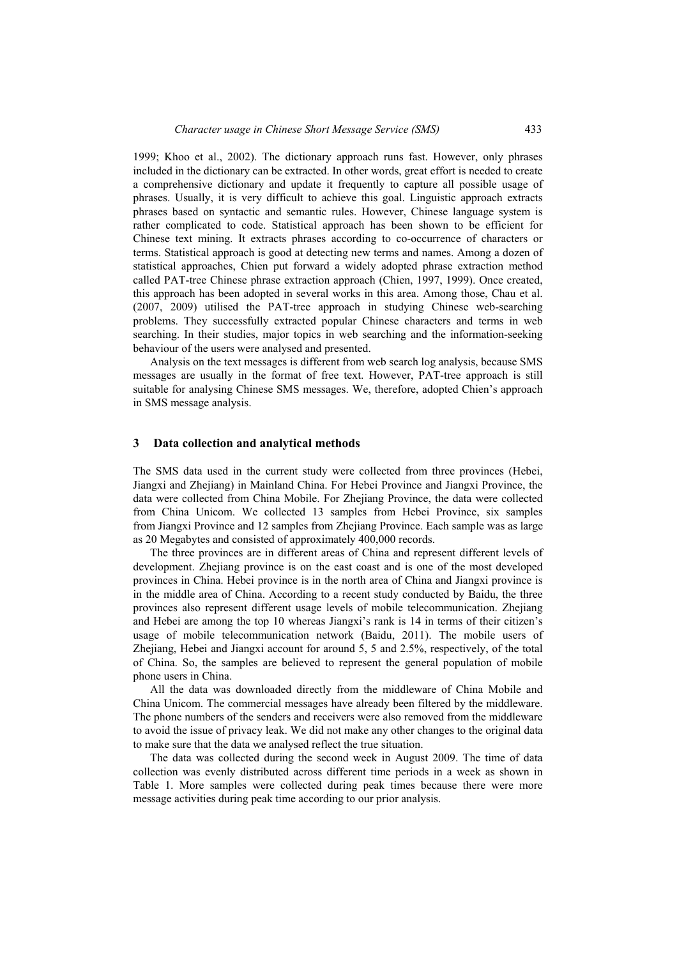1999; Khoo et al., 2002). The dictionary approach runs fast. However, only phrases included in the dictionary can be extracted. In other words, great effort is needed to create a comprehensive dictionary and update it frequently to capture all possible usage of phrases. Usually, it is very difficult to achieve this goal. Linguistic approach extracts phrases based on syntactic and semantic rules. However, Chinese language system is rather complicated to code. Statistical approach has been shown to be efficient for Chinese text mining. It extracts phrases according to co-occurrence of characters or terms. Statistical approach is good at detecting new terms and names. Among a dozen of statistical approaches, Chien put forward a widely adopted phrase extraction method called PAT-tree Chinese phrase extraction approach (Chien, 1997, 1999). Once created, this approach has been adopted in several works in this area. Among those, Chau et al. (2007, 2009) utilised the PAT-tree approach in studying Chinese web-searching problems. They successfully extracted popular Chinese characters and terms in web searching. In their studies, major topics in web searching and the information-seeking behaviour of the users were analysed and presented.

Analysis on the text messages is different from web search log analysis, because SMS messages are usually in the format of free text. However, PAT-tree approach is still suitable for analysing Chinese SMS messages. We, therefore, adopted Chien's approach in SMS message analysis.

#### **3 Data collection and analytical methods**

The SMS data used in the current study were collected from three provinces (Hebei, Jiangxi and Zhejiang) in Mainland China. For Hebei Province and Jiangxi Province, the data were collected from China Mobile. For Zhejiang Province, the data were collected from China Unicom. We collected 13 samples from Hebei Province, six samples from Jiangxi Province and 12 samples from Zhejiang Province. Each sample was as large as 20 Megabytes and consisted of approximately 400,000 records.

The three provinces are in different areas of China and represent different levels of development. Zhejiang province is on the east coast and is one of the most developed provinces in China. Hebei province is in the north area of China and Jiangxi province is in the middle area of China. According to a recent study conducted by Baidu, the three provinces also represent different usage levels of mobile telecommunication. Zhejiang and Hebei are among the top 10 whereas Jiangxi's rank is 14 in terms of their citizen's usage of mobile telecommunication network (Baidu, 2011). The mobile users of Zhejiang, Hebei and Jiangxi account for around 5, 5 and 2.5%, respectively, of the total of China. So, the samples are believed to represent the general population of mobile phone users in China.

All the data was downloaded directly from the middleware of China Mobile and China Unicom. The commercial messages have already been filtered by the middleware. The phone numbers of the senders and receivers were also removed from the middleware to avoid the issue of privacy leak. We did not make any other changes to the original data to make sure that the data we analysed reflect the true situation.

The data was collected during the second week in August 2009. The time of data collection was evenly distributed across different time periods in a week as shown in Table 1. More samples were collected during peak times because there were more message activities during peak time according to our prior analysis.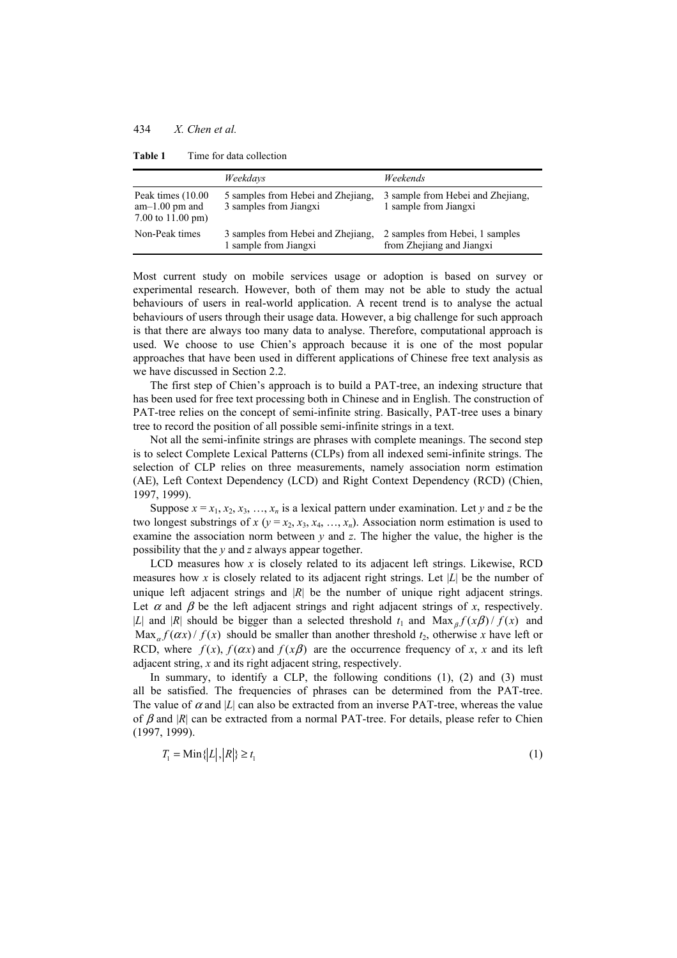Table 1 Time for data collection

|                                                                        | Weekdavs                                                     | Weekends                                                     |
|------------------------------------------------------------------------|--------------------------------------------------------------|--------------------------------------------------------------|
| Peak times (10.00)<br>$am-1.00$ pm and<br>7.00 to $11.00 \text{ pm}$ ) | 5 samples from Hebei and Zhejiang,<br>3 samples from Jiangxi | 3 sample from Hebei and Zhejiang,<br>1 sample from Jiangxi   |
| Non-Peak times                                                         | 3 samples from Hebei and Zhejiang,<br>1 sample from Jiangxi  | 2 samples from Hebei, 1 samples<br>from Zhejiang and Jiangxi |

Most current study on mobile services usage or adoption is based on survey or experimental research. However, both of them may not be able to study the actual behaviours of users in real-world application. A recent trend is to analyse the actual behaviours of users through their usage data. However, a big challenge for such approach is that there are always too many data to analyse. Therefore, computational approach is used. We choose to use Chien's approach because it is one of the most popular approaches that have been used in different applications of Chinese free text analysis as we have discussed in Section 2.2.

The first step of Chien's approach is to build a PAT-tree, an indexing structure that has been used for free text processing both in Chinese and in English. The construction of PAT-tree relies on the concept of semi-infinite string. Basically, PAT-tree uses a binary tree to record the position of all possible semi-infinite strings in a text.

Not all the semi-infinite strings are phrases with complete meanings. The second step is to select Complete Lexical Patterns (CLPs) from all indexed semi-infinite strings. The selection of CLP relies on three measurements, namely association norm estimation (AE), Left Context Dependency (LCD) and Right Context Dependency (RCD) (Chien, 1997, 1999).

Suppose  $x = x_1, x_2, x_3, ..., x_n$  is a lexical pattern under examination. Let *y* and *z* be the two longest substrings of *x* ( $y = x_2, x_3, x_4, ..., x_n$ ). Association norm estimation is used to examine the association norm between *y* and *z*. The higher the value, the higher is the possibility that the *y* and *z* always appear together.

LCD measures how x is closely related to its adjacent left strings. Likewise, RCD measures how  $x$  is closely related to its adjacent right strings. Let  $|L|$  be the number of unique left adjacent strings and |*R*| be the number of unique right adjacent strings. Let  $\alpha$  and  $\beta$  be the left adjacent strings and right adjacent strings of *x*, respectively. |*L*| and |*R*| should be bigger than a selected threshold  $t_1$  and  $\text{Max}_{\beta} f(x\beta) / f(x)$  and  $\text{Max}_{\alpha} f(\alpha x) / f(x)$  should be smaller than another threshold  $t_2$ , otherwise x have left or RCD, where  $f(x)$ ,  $f(\alpha x)$  and  $f(x\beta)$  are the occurrence frequency of *x*, *x* and its left adjacent string, *x* and its right adjacent string, respectively.

In summary, to identify a CLP, the following conditions  $(1)$ ,  $(2)$  and  $(3)$  must all be satisfied. The frequencies of phrases can be determined from the PAT-tree. The value of  $\alpha$  and |*L*| can also be extracted from an inverse PAT-tree, whereas the value of β and |*R*| can be extracted from a normal PAT-tree. For details, please refer to Chien (1997, 1999).

$$
T_1 = \min\{|L|, |R|\} \ge t_1\tag{1}
$$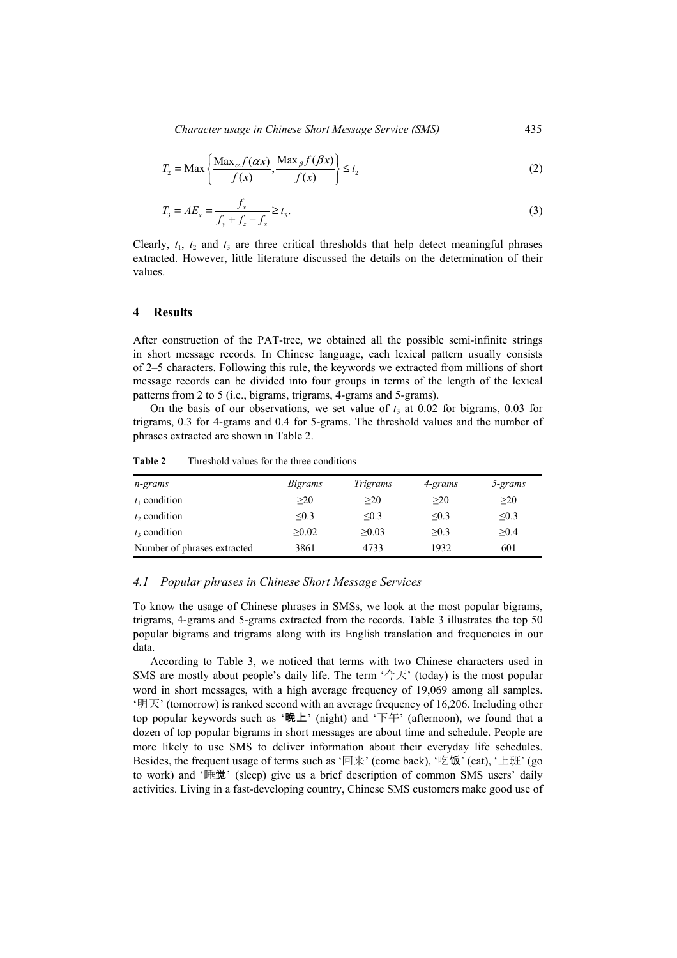*Character usage in Chinese Short Message Service (SMS)* 435

$$
T_2 = \text{Max}\left\{\frac{\text{Max}_{\alpha}f(\alpha x)}{f(x)}, \frac{\text{Max}_{\beta}f(\beta x)}{f(x)}\right\} \le t_2
$$
\n(2)

$$
T_3 = AE_x = \frac{f_x}{f_y + f_z - f_x} \ge t_3.
$$
\n(3)

Clearly,  $t_1$ ,  $t_2$  and  $t_3$  are three critical thresholds that help detect meaningful phrases extracted. However, little literature discussed the details on the determination of their values.

#### **4 Results**

After construction of the PAT-tree, we obtained all the possible semi-infinite strings in short message records. In Chinese language, each lexical pattern usually consists of 2–5 characters. Following this rule, the keywords we extracted from millions of short message records can be divided into four groups in terms of the length of the lexical patterns from 2 to 5 (i.e., bigrams, trigrams, 4-grams and 5-grams).

On the basis of our observations, we set value of  $t_3$  at 0.02 for bigrams, 0.03 for trigrams, 0.3 for 4-grams and 0.4 for 5-grams. The threshold values and the number of phrases extracted are shown in Table 2.

**Table 2** Threshold values for the three conditions

| n-grams                     | <i>Bigrams</i> | Trigrams   | 4-grams    | 5-grams    |
|-----------------------------|----------------|------------|------------|------------|
| $t_1$ condition             | >20            | >20        | $\geq$ 20  | $\geq$ 20  |
| $t_2$ condition             | < 0.3          | $\leq 0.3$ | $\leq 0.3$ | $\leq 0.3$ |
| $t_3$ condition             | >0.02          | >0.03      | $\geq 0.3$ | >0.4       |
| Number of phrases extracted | 3861           | 4733       | 1932       | 601        |

#### *4.1 Popular phrases in Chinese Short Message Services*

To know the usage of Chinese phrases in SMSs, we look at the most popular bigrams, trigrams, 4-grams and 5-grams extracted from the records. Table 3 illustrates the top 50 popular bigrams and trigrams along with its English translation and frequencies in our data.

According to Table 3, we noticed that terms with two Chinese characters used in SMS are mostly about people's daily life. The term ' $\hat{\sigma} \vec{\tau}$ ' (today) is the most popular word in short messages, with a high average frequency of 19,069 among all samples. '明天' (tomorrow) is ranked second with an average frequency of 16,206. Including other top popular keywords such as '晚上' (night) and '下午' (afternoon), we found that a dozen of top popular bigrams in short messages are about time and schedule. People are more likely to use SMS to deliver information about their everyday life schedules. Besides, the frequent usage of terms such as '回来' (come back), '吃饭' (eat), '上班' (go to work) and '睡觉' (sleep) give us a brief description of common SMS users' daily activities. Living in a fast-developing country, Chinese SMS customers make good use of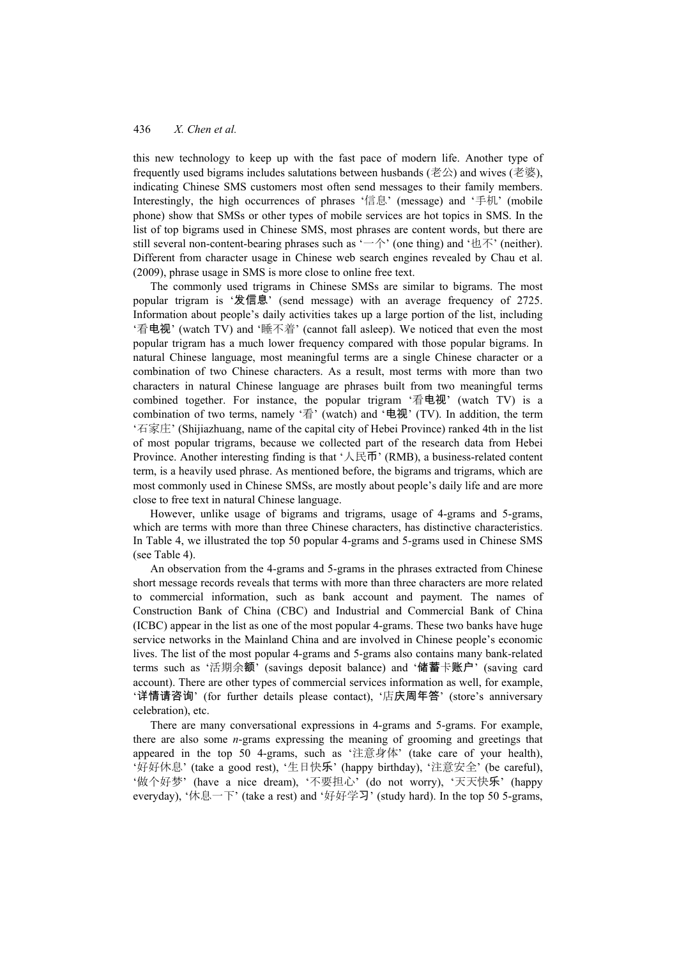this new technology to keep up with the fast pace of modern life. Another type of frequently used bigrams includes salutations between husbands (老公) and wives (老婆), indicating Chinese SMS customers most often send messages to their family members. Interestingly, the high occurrences of phrases '信息' (message) and '手机' (mobile phone) show that SMSs or other types of mobile services are hot topics in SMS. In the list of top bigrams used in Chinese SMS, most phrases are content words, but there are still several non-content-bearing phrases such as ' $-\wedge$ ' (one thing) and '也不' (neither). Different from character usage in Chinese web search engines revealed by Chau et al. (2009), phrase usage in SMS is more close to online free text.

The commonly used trigrams in Chinese SMSs are similar to bigrams. The most popular trigram is '发信息' (send message) with an average frequency of 2725. Information about people's daily activities takes up a large portion of the list, including '看电视' (watch TV) and '睡不着' (cannot fall asleep). We noticed that even the most popular trigram has a much lower frequency compared with those popular bigrams. In natural Chinese language, most meaningful terms are a single Chinese character or a combination of two Chinese characters. As a result, most terms with more than two characters in natural Chinese language are phrases built from two meaningful terms combined together. For instance, the popular trigram '看电视' (watch TV) is a combination of two terms, namely '看' (watch) and '电视' (TV). In addition, the term '石家庄' (Shijiazhuang, name of the capital city of Hebei Province) ranked 4th in the list of most popular trigrams, because we collected part of the research data from Hebei Province. Another interesting finding is that  $\Delta E$  (RMB), a business-related content term, is a heavily used phrase. As mentioned before, the bigrams and trigrams, which are most commonly used in Chinese SMSs, are mostly about people's daily life and are more close to free text in natural Chinese language.

However, unlike usage of bigrams and trigrams, usage of 4-grams and 5-grams, which are terms with more than three Chinese characters, has distinctive characteristics. In Table 4, we illustrated the top 50 popular 4-grams and 5-grams used in Chinese SMS (see Table 4).

An observation from the 4-grams and 5-grams in the phrases extracted from Chinese short message records reveals that terms with more than three characters are more related to commercial information, such as bank account and payment. The names of Construction Bank of China (CBC) and Industrial and Commercial Bank of China (ICBC) appear in the list as one of the most popular 4-grams. These two banks have huge service networks in the Mainland China and are involved in Chinese people's economic lives. The list of the most popular 4-grams and 5-grams also contains many bank-related terms such as '活期余额' (savings deposit balance) and '储蓄卡账户' (saving card account). There are other types of commercial services information as well, for example, '详情请咨询' (for further details please contact), '店庆周年答' (store's anniversary celebration), etc.

There are many conversational expressions in 4-grams and 5-grams. For example, there are also some *n*-grams expressing the meaning of grooming and greetings that appeared in the top 50 4-grams, such as '注意身体' (take care of your health), '好好休息' (take a good rest), '生日快乐' (happy birthday), '注意安全' (be careful), '做个好梦' (have a nice dream), '不要担心' (do not worry), '天天快乐' (happy everyday), '休息一下' (take a rest) and '好好学习' (study hard). In the top 50 5-grams,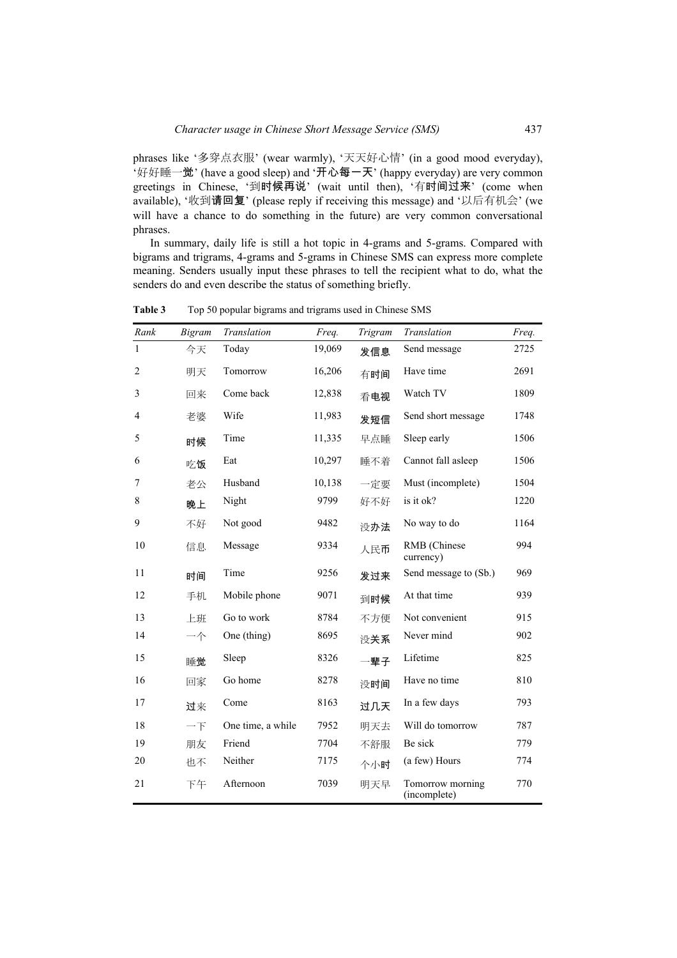phrases like '多穿点衣服' (wear warmly), '天天好心情' (in a good mood everyday), '好好睡一觉' (have a good sleep) and '开心每一天' (happy everyday) are very common greetings in Chinese, '到时候再说' (wait until then), '有时间过来' (come when available), '收到请回复' (please reply if receiving this message) and '以后有机会' (we will have a chance to do something in the future) are very common conversational phrases.

In summary, daily life is still a hot topic in 4-grams and 5-grams. Compared with bigrams and trigrams, 4-grams and 5-grams in Chinese SMS can express more complete meaning. Senders usually input these phrases to tell the recipient what to do, what the senders do and even describe the status of something briefly.

| Rank           | <b>Bigram</b> | Translation       | Freq.  | Trigram | Translation                      | Freq. |
|----------------|---------------|-------------------|--------|---------|----------------------------------|-------|
| $\mathbf{1}$   | 今天            | Today             | 19,069 | 发信息     | Send message                     | 2725  |
| $\overline{2}$ | 明天            | Tomorrow          | 16,206 | 有时间     | Have time                        | 2691  |
| 3              | 回来            | Come back         | 12,838 | 看电视     | Watch TV                         | 1809  |
| 4              | 老婆            | Wife              | 11,983 | 发短信     | Send short message               | 1748  |
| 5              | 时候            | Time              | 11,335 | 早点睡     | Sleep early                      | 1506  |
| 6              | 吃饭            | Eat               | 10,297 | 睡不着     | Cannot fall asleep               | 1506  |
| 7              | 老公            | Husband           | 10,138 | 一定要     | Must (incomplete)                | 1504  |
| 8              | 晚上            | Night             | 9799   | 好不好     | is it ok?                        | 1220  |
| 9              | 不好            | Not good          | 9482   | 没办法     | No way to do                     | 1164  |
| 10             | 信息            | Message           | 9334   | 人民币     | RMB (Chinese<br>currency)        | 994   |
| 11             | 时间            | Time              | 9256   | 发过来     | Send message to (Sb.)            | 969   |
| 12             | 手机            | Mobile phone      | 9071   | 到时候     | At that time                     | 939   |
| 13             | 上班            | Go to work        | 8784   | 不方便     | Not convenient                   | 915   |
| 14             | 一个            | One (thing)       | 8695   | 没关系     | Never mind                       | 902   |
| 15             | 睡觉            | Sleep             | 8326   | 一辈子     | Lifetime                         | 825   |
| 16             | 回家            | Go home           | 8278   | 没时间     | Have no time                     | 810   |
| 17             | 过来            | Come              | 8163   | 过几天     | In a few days                    | 793   |
| 18             | 一下            | One time, a while | 7952   | 明天去     | Will do tomorrow                 | 787   |
| 19             | 朋友            | Friend            | 7704   | 不舒服     | Be sick                          | 779   |
| 20             | 也不            | Neither           | 7175   | 个小时     | (a few) Hours                    | 774   |
| 21             | 下午            | Afternoon         | 7039   | 明天早     | Tomorrow morning<br>(incomplete) | 770   |

**Table 3** Top 50 popular bigrams and trigrams used in Chinese SMS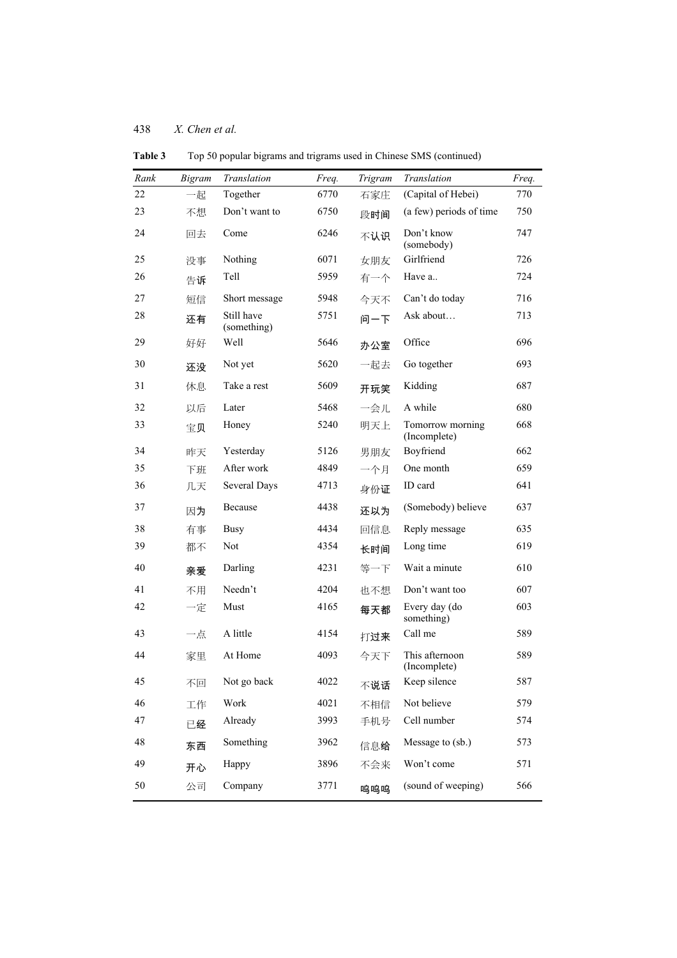| Rank | Bigram | Translation               | Freq. | Trigram | Translation                      | Freq. |
|------|--------|---------------------------|-------|---------|----------------------------------|-------|
| 22   | 一起     | Together                  | 6770  | 石家庄     | (Capital of Hebei)               | 770   |
| 23   | 不想     | Don't want to             | 6750  | 段时间     | (a few) periods of time          | 750   |
| 24   | 回去     | Come                      | 6246  | 不认识     | Don't know<br>(somebody)         | 747   |
| 25   | 没事     | Nothing                   | 6071  | 女朋友     | Girlfriend                       | 726   |
| 26   | 告诉     | Tell                      | 5959  | 有一个     | Have a                           | 724   |
| 27   | 短信     | Short message             | 5948  | 今天不     | Can't do today                   | 716   |
| 28   | 还有     | Still have<br>(something) | 5751  | 问一下     | Ask about                        | 713   |
| 29   | 好好     | Well                      | 5646  | 办公室     | Office                           | 696   |
| 30   | 还没     | Not yet                   | 5620  | 一起去     | Go together                      | 693   |
| 31   | 休息     | Take a rest               | 5609  | 开玩笑     | Kidding                          | 687   |
| 32   | 以后     | Later                     | 5468  | 一会儿     | A while                          | 680   |
| 33   | 宝贝     | Honey                     | 5240  | 明天上     | Tomorrow morning<br>(Incomplete) | 668   |
| 34   | 昨天     | Yesterday                 | 5126  | 男朋友     | Boyfriend                        | 662   |
| 35   | 下班     | After work                | 4849  | 一个月     | One month                        | 659   |
| 36   | 几天     | Several Days              | 4713  | 身份证     | ID card                          | 641   |
| 37   | 因为     | Because                   | 4438  | 还以为     | (Somebody) believe               | 637   |
| 38   | 有事     | <b>Busy</b>               | 4434  | 回信息     | Reply message                    | 635   |
| 39   | 都不     | Not                       | 4354  | 长时间     | Long time                        | 619   |
| 40   | 亲爱     | Darling                   | 4231  | 等一下     | Wait a minute                    | 610   |
| 41   | 不用     | Needn't                   | 4204  | 也不想     | Don't want too                   | 607   |
| 42   | 一定     | Must                      | 4165  | 每天都     | Every day (do<br>something)      | 603   |
| 43   | 一点     | A little                  | 4154  | 打过来     | Call me                          | 589   |
| 44   | 家里     | At Home                   | 4093  | 今天下     | This afternoon<br>(Incomplete)   | 589   |
| 45   | 不回     | Not go back               | 4022  | 不说话     | Keep silence                     | 587   |
| 46   | 工作     | Work                      | 4021  | 不相信     | Not believe                      | 579   |
| 47   | 已经     | Already                   | 3993  | 手机号     | Cell number                      | 574   |
| 48   | 东西     | Something                 | 3962  | 信息给     | Message to (sb.)                 | 573   |
| 49   | 开心     | Happy                     | 3896  | 不会来     | Won't come                       | 571   |
| 50   | 公司     | Company                   | 3771  | 呜呜呜     | (sound of weeping)               | 566   |

Table 3 Top 50 popular bigrams and trigrams used in Chinese SMS (continued)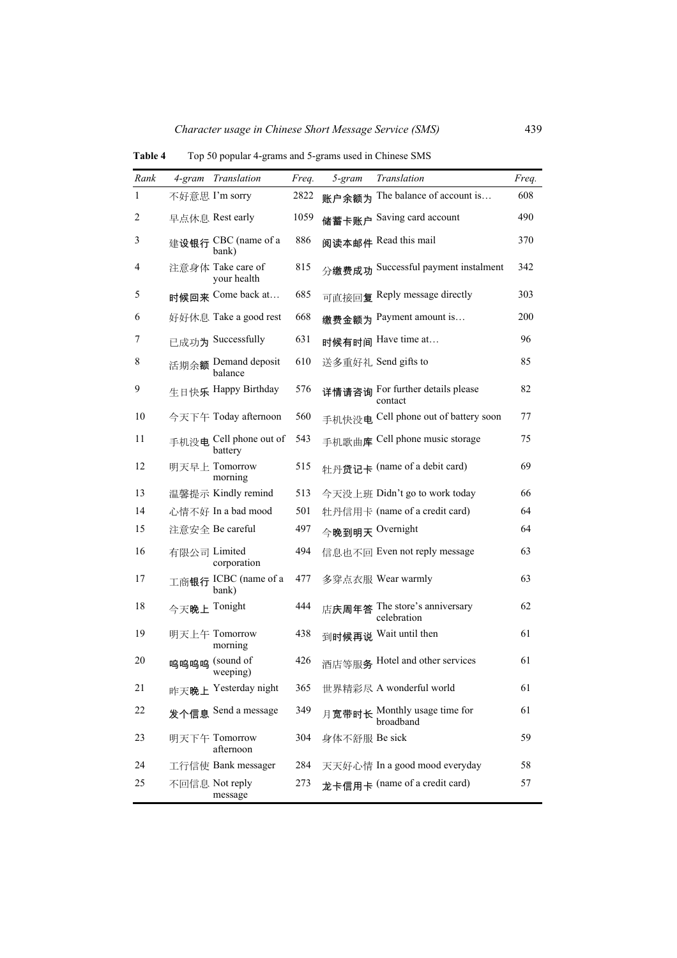| Rank           | 4-gram       | Translation                       | Freq. | 5-gram          | Translation                                  | Freq. |
|----------------|--------------|-----------------------------------|-------|-----------------|----------------------------------------------|-------|
| 1              |              | 不好意思 I'm sorry                    | 2822  |                 | 账户余额为 The balance of account is              | 608   |
| 2              |              | 早点休息 Rest early                   | 1059  |                 | 储蓄卡账户 Saving card account                    | 490   |
| 3              |              | 建设银行 CBC (name of a<br>bank)      | 886   |                 | 阅读本邮件 Read this mail                         | 370   |
| $\overline{4}$ |              | 注意身体 Take care of<br>your health  | 815   |                 | 分缴费成功 Successful payment instalment          | 342   |
| 5              |              | 时候回来 Come back at                 | 685   |                 | 可直接回复 Reply message directly                 | 303   |
| 6              |              | 好好休息 Take a good rest             | 668   |                 | 缴费金额为 Payment amount is                      | 200   |
| 7              |              | 已成功为 Successfully                 | 631   |                 | 时候有时间 Have time at                           | 96    |
| 8              |              | 活期余额 Demand deposit<br>balance    | 610   |                 | 送多重好礼 Send gifts to                          | 85    |
| 9              |              | 生日快乐 Happy Birthday               | 576   |                 | 详情请咨询 For further details please<br>contact  | 82    |
| 10             |              | 今天下午 Today afternoon              | 560   |                 | 手机快没电 Cell phone out of battery soon         | 77    |
| 11             |              | 手机没电 Cell phone out of<br>battery | 543   |                 | 手机歌曲库 Cell phone music storage               | 75    |
| 12             |              | 明天早上 Tomorrow<br>morning          | 515   |                 | 牡丹贷记卡 (name of a debit card)                 | 69    |
| 13             |              | 温馨提示 Kindly remind                | 513   |                 | 今天没上班 Didn't go to work today                | 66    |
| 14             |              | 心情不好 In a bad mood                | 501   |                 | 牡丹信用卡 (name of a credit card)                | 64    |
| 15             |              | 注意安全 Be careful                   | 497   | 今晚到明天 Overnight |                                              | 64    |
| 16             | 有限公司 Limited | corporation                       | 494   |                 | 信息也不回 Even not reply message                 | 63    |
| 17             |              | 工商银行 ICBC (name of a<br>bank)     | 477   |                 | 多穿点衣服 Wear warmly                            | 63    |
| 18             | 今天晚上 Tonight |                                   | 444   |                 | 店庆周年答 The store's anniversary<br>celebration | 62    |
| 19             |              | 明天上午 Tomorrow<br>morning          | 438   |                 | 到时候再说 Wait until then                        | 61    |
| 20             |              | 呜呜呜呜 (sound of<br>weeping)        | 426   |                 | 酒店等服务 Hotel and other services               | 61    |
| 21             |              | 昨天晚上 Yesterday night              | 365   |                 | 世界精彩尽 A wonderful world                      | 61    |
| 22             |              | 发个信息 Send a message               | 349   |                 | 月宽带时长 Monthly usage time for<br>broadband    | 61    |
| 23             |              | 明天下午 Tomorrow<br>afternoon        | 304   | 身体不舒服 Be sick   |                                              | 59    |
| 24             |              | 工行信使 Bank messager                | 284   |                 | 天天好心情 In a good mood everyday                | 58    |
| 25             |              | 不回信息 Not reply<br>message         | 273   |                 | 龙卡信用卡 (name of a credit card)                | 57    |

**Table 4** Top 50 popular 4-grams and 5-grams used in Chinese SMS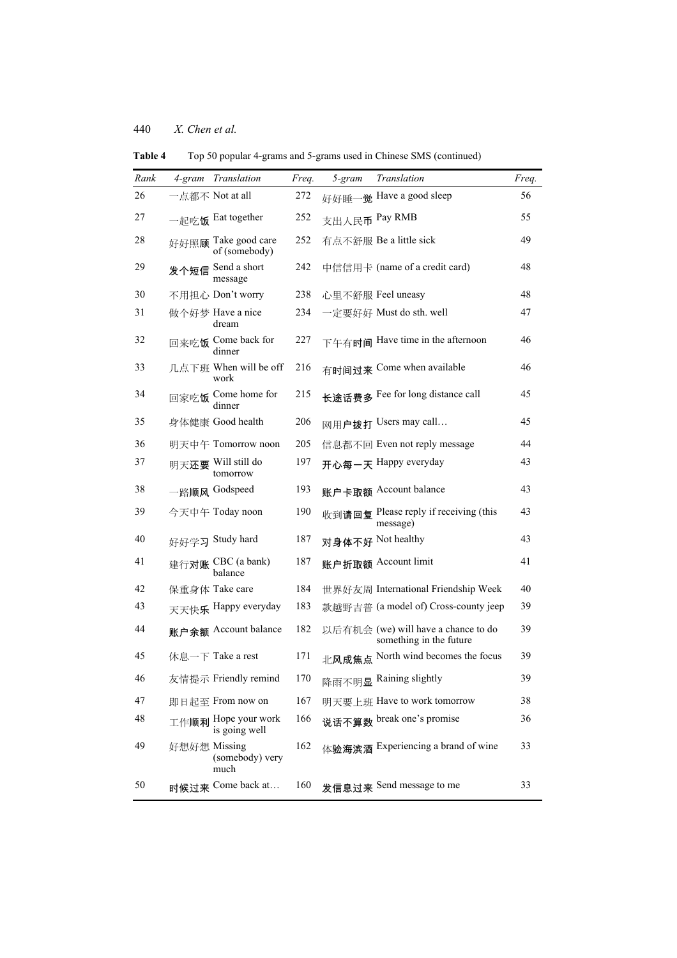|  | Table 4 | Top 50 popular 4-grams and 5-grams used in Chinese SMS (continued) |  |  |  |  |
|--|---------|--------------------------------------------------------------------|--|--|--|--|
|--|---------|--------------------------------------------------------------------|--|--|--|--|

| Rank |              | 4-gram Translation                     | Freq. | 5-gram            | Translation                                                    | Freq. |
|------|--------------|----------------------------------------|-------|-------------------|----------------------------------------------------------------|-------|
| 26   |              | 一点都不 Not at all                        | 272   |                   | 好好睡一觉 Have a good sleep                                        | 56    |
| 27   |              | 一起吃饭 Eat together                      | 252   | 支出人民币 Pay RMB     |                                                                | 55    |
| 28   |              | 好好照顾 Take good care<br>of (somebody)   | 252   |                   | 有点不舒服 Be a little sick                                         | 49    |
| 29   |              | 发个短信 Send a short<br>message           | 242   |                   | 中信信用卡 (name of a credit card)                                  | 48    |
| 30   |              | 不用担心 Don't worry                       | 238   | 心里不舒服 Feel uneasy |                                                                | 48    |
| 31   |              | 做个好梦 Have a nice<br>dream              | 234   |                   | 一定要好好 Must do sth. well                                        | 47    |
| 32   |              | 回来吃饭 Come back for<br>dinner           | 227   |                   | 下午有时间 Have time in the afternoon                               | 46    |
| 33   |              | 几点下班 When will be off<br>work          | 216   |                   | 有时间过来 Come when available                                      | 46    |
| 34   |              | 回家吃饭 Come home for<br>dinner           | 215   |                   | 长途话费多 Fee for long distance call                               | 45    |
| 35   |              | 身体健康 Good health                       | 206   |                   | 网用户拨打 Users may call                                           | 45    |
| 36   |              | 明天中午 Tomorrow noon                     | 205   |                   | 信息都不回 Even not reply message                                   | 44    |
| 37   |              | 明天 <b>还要</b> Will still do<br>tomorrow | 197   |                   | 开心每一天 Happy everyday                                           | 43    |
| 38   |              | 一路顺风 Godspeed                          | 193   |                   | 账户卡取额 Account balance                                          | 43    |
| 39   |              | 今天中午 Today noon                        | 190   |                   | 收到 <b>请回复</b> Please reply if receiving (this message)         | 43    |
| 40   |              | 好好学习 Study hard                        | 187   | 对身体不好 Not healthy |                                                                | 43    |
| 41   |              | 建行对账 CBC (a bank)<br>balance           | 187   |                   | 账户折取额 Account limit                                            | 41    |
| 42   |              | 保重身体 Take care                         | 184   |                   | 世界好友周 International Friendship Week                            | 40    |
| 43   |              | 天天快乐 Happy everyday                    | 183   |                   | 款越野吉普 (a model of) Cross-county jeep                           | 39    |
| 44   |              | 账户余额 Account balance                   | 182   |                   | 以后有机会 (we) will have a chance to do<br>something in the future | 39    |
| 45   |              | 休息一下 Take a rest                       | 171   |                   | 北风成焦点 North wind becomes the focus                             | 39    |
| 46   |              | 友情提示 Friendly remind                   | 170   |                   | 降雨不明显 Raining slightly                                         | 39    |
| 47   |              | 即日起至 From now on                       | 167   |                   | 明天要上班 Have to work tomorrow                                    | 38    |
| 48   |              | 工作顺利 Hope your work<br>is going well   | 166   |                   | 说话不算数 break one's promise                                      | 36    |
| 49   | 好想好想 Missing | (somebody) very<br>much                | 162   |                   | 体验海滨酒 Experiencing a brand of wine                             | 33    |
| 50   |              | 时候过来 Come back at                      | 160   |                   | 发信息过来 Send message to me                                       | 33    |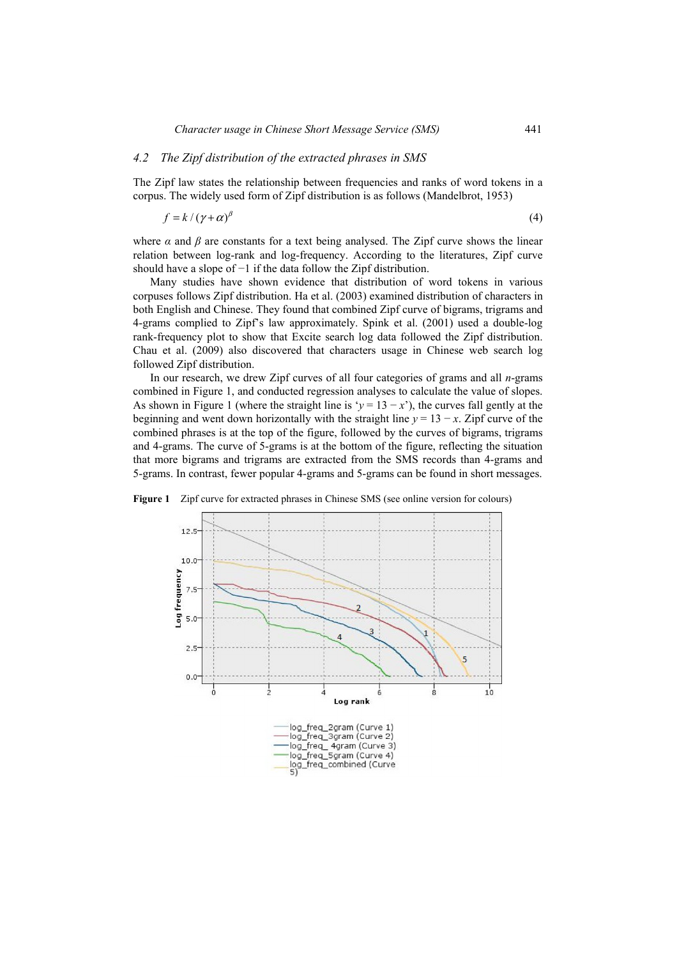### *4.2 The Zipf distribution of the extracted phrases in SMS*

The Zipf law states the relationship between frequencies and ranks of word tokens in a corpus. The widely used form of Zipf distribution is as follows (Mandelbrot, 1953)

$$
f = k / (\gamma + \alpha)^{\beta} \tag{4}
$$

where  $\alpha$  and  $\beta$  are constants for a text being analysed. The Zipf curve shows the linear relation between log-rank and log-frequency. According to the literatures, Zipf curve should have a slope of −1 if the data follow the Zipf distribution.

Many studies have shown evidence that distribution of word tokens in various corpuses follows Zipf distribution. Ha et al. (2003) examined distribution of characters in both English and Chinese. They found that combined Zipf curve of bigrams, trigrams and 4-grams complied to Zipf's law approximately. Spink et al. (2001) used a double-log rank-frequency plot to show that Excite search log data followed the Zipf distribution. Chau et al. (2009) also discovered that characters usage in Chinese web search log followed Zipf distribution.

In our research, we drew Zipf curves of all four categories of grams and all *n*-grams combined in Figure 1, and conducted regression analyses to calculate the value of slopes. As shown in Figure 1 (where the straight line is ' $y = 13 - x$ '), the curves fall gently at the beginning and went down horizontally with the straight line  $y = 13 - x$ . Zipf curve of the combined phrases is at the top of the figure, followed by the curves of bigrams, trigrams and 4-grams. The curve of 5-grams is at the bottom of the figure, reflecting the situation that more bigrams and trigrams are extracted from the SMS records than 4-grams and 5-grams. In contrast, fewer popular 4-grams and 5-grams can be found in short messages.



Figure 1 Zipf curve for extracted phrases in Chinese SMS (see online version for colours)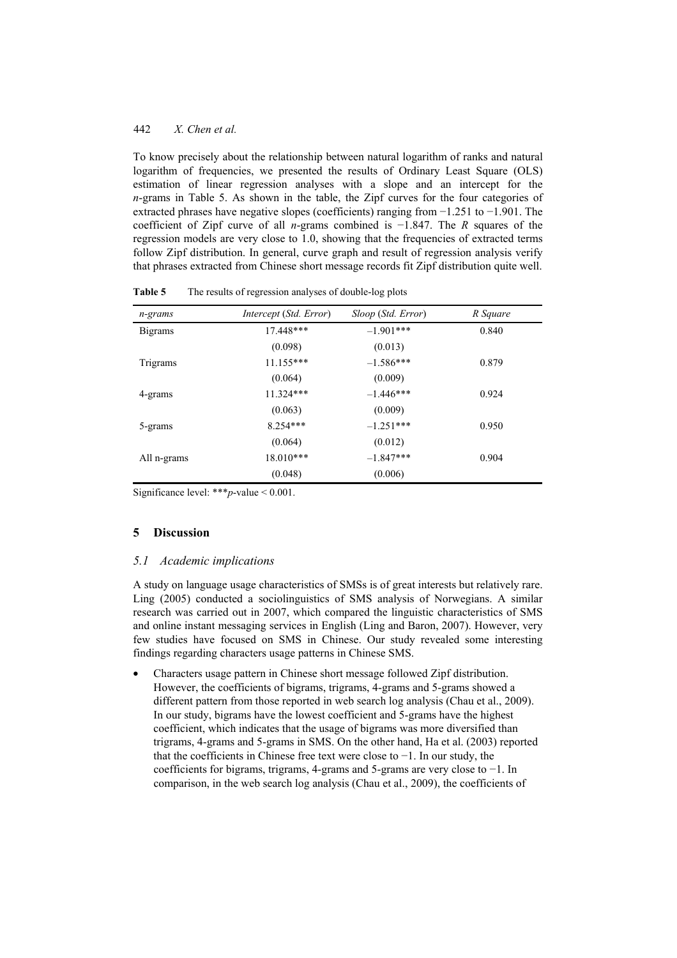To know precisely about the relationship between natural logarithm of ranks and natural logarithm of frequencies, we presented the results of Ordinary Least Square (OLS) estimation of linear regression analyses with a slope and an intercept for the *n*-grams in Table 5. As shown in the table, the Zipf curves for the four categories of extracted phrases have negative slopes (coefficients) ranging from −1.251 to −1.901. The coefficient of Zipf curve of all *n*-grams combined is −1.847. The *R* squares of the regression models are very close to 1.0, showing that the frequencies of extracted terms follow Zipf distribution. In general, curve graph and result of regression analysis verify that phrases extracted from Chinese short message records fit Zipf distribution quite well.

*n-grams Intercept* (*Std. Error*) *Sloop* (*Std. Error*) *R Square*  Bigrams 17.448\*\*\* (0.098)  $-1.901***$ (0.013) 0.840 Trigrams 11.155\*\*\* (0.064)  $-1.586***$ (0.009) 0.879 4-grams 11.324\*\*\* (0.063)  $-1.446***$ (0.009) 0.924 5-grams 8.254\*\*\* (0.064)  $-1.251***$ (0.012) 0.950 All n-grams 18.010\*\*\* (0.048)  $-1.847***$ (0.006) 0.904

**Table 5** The results of regression analyses of double-log plots

Significance level: \*\*\**p*-value < 0.001.

### **5 Discussion**

#### *5.1 Academic implications*

A study on language usage characteristics of SMSs is of great interests but relatively rare. Ling (2005) conducted a sociolinguistics of SMS analysis of Norwegians. A similar research was carried out in 2007, which compared the linguistic characteristics of SMS and online instant messaging services in English (Ling and Baron, 2007). However, very few studies have focused on SMS in Chinese. Our study revealed some interesting findings regarding characters usage patterns in Chinese SMS.

• Characters usage pattern in Chinese short message followed Zipf distribution. However, the coefficients of bigrams, trigrams, 4-grams and 5-grams showed a different pattern from those reported in web search log analysis (Chau et al., 2009). In our study, bigrams have the lowest coefficient and 5-grams have the highest coefficient, which indicates that the usage of bigrams was more diversified than trigrams, 4-grams and 5-grams in SMS. On the other hand, Ha et al. (2003) reported that the coefficients in Chinese free text were close to −1. In our study, the coefficients for bigrams, trigrams, 4-grams and 5-grams are very close to −1. In comparison, in the web search log analysis (Chau et al., 2009), the coefficients of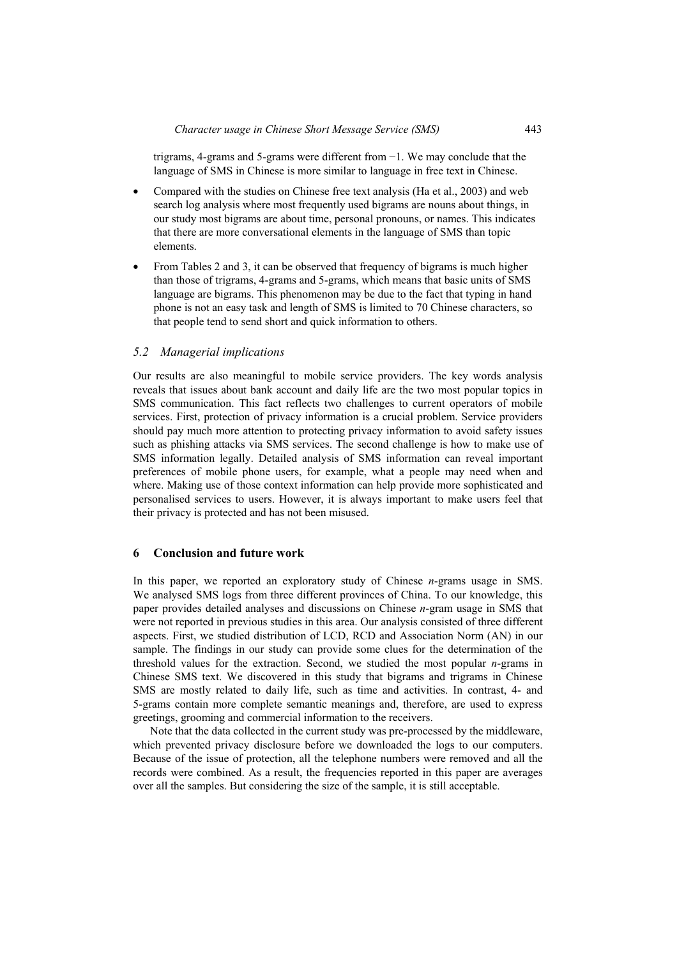trigrams, 4-grams and 5-grams were different from −1. We may conclude that the language of SMS in Chinese is more similar to language in free text in Chinese.

- Compared with the studies on Chinese free text analysis (Ha et al., 2003) and web search log analysis where most frequently used bigrams are nouns about things, in our study most bigrams are about time, personal pronouns, or names. This indicates that there are more conversational elements in the language of SMS than topic elements.
- From Tables 2 and 3, it can be observed that frequency of bigrams is much higher than those of trigrams, 4-grams and 5-grams, which means that basic units of SMS language are bigrams. This phenomenon may be due to the fact that typing in hand phone is not an easy task and length of SMS is limited to 70 Chinese characters, so that people tend to send short and quick information to others.

#### *5.2 Managerial implications*

Our results are also meaningful to mobile service providers. The key words analysis reveals that issues about bank account and daily life are the two most popular topics in SMS communication. This fact reflects two challenges to current operators of mobile services. First, protection of privacy information is a crucial problem. Service providers should pay much more attention to protecting privacy information to avoid safety issues such as phishing attacks via SMS services. The second challenge is how to make use of SMS information legally. Detailed analysis of SMS information can reveal important preferences of mobile phone users, for example, what a people may need when and where. Making use of those context information can help provide more sophisticated and personalised services to users. However, it is always important to make users feel that their privacy is protected and has not been misused.

#### **6 Conclusion and future work**

In this paper, we reported an exploratory study of Chinese *n*-grams usage in SMS. We analysed SMS logs from three different provinces of China. To our knowledge, this paper provides detailed analyses and discussions on Chinese *n*-gram usage in SMS that were not reported in previous studies in this area. Our analysis consisted of three different aspects. First, we studied distribution of LCD, RCD and Association Norm (AN) in our sample. The findings in our study can provide some clues for the determination of the threshold values for the extraction. Second, we studied the most popular *n*-grams in Chinese SMS text. We discovered in this study that bigrams and trigrams in Chinese SMS are mostly related to daily life, such as time and activities. In contrast, 4- and 5-grams contain more complete semantic meanings and, therefore, are used to express greetings, grooming and commercial information to the receivers.

Note that the data collected in the current study was pre-processed by the middleware, which prevented privacy disclosure before we downloaded the logs to our computers. Because of the issue of protection, all the telephone numbers were removed and all the records were combined. As a result, the frequencies reported in this paper are averages over all the samples. But considering the size of the sample, it is still acceptable.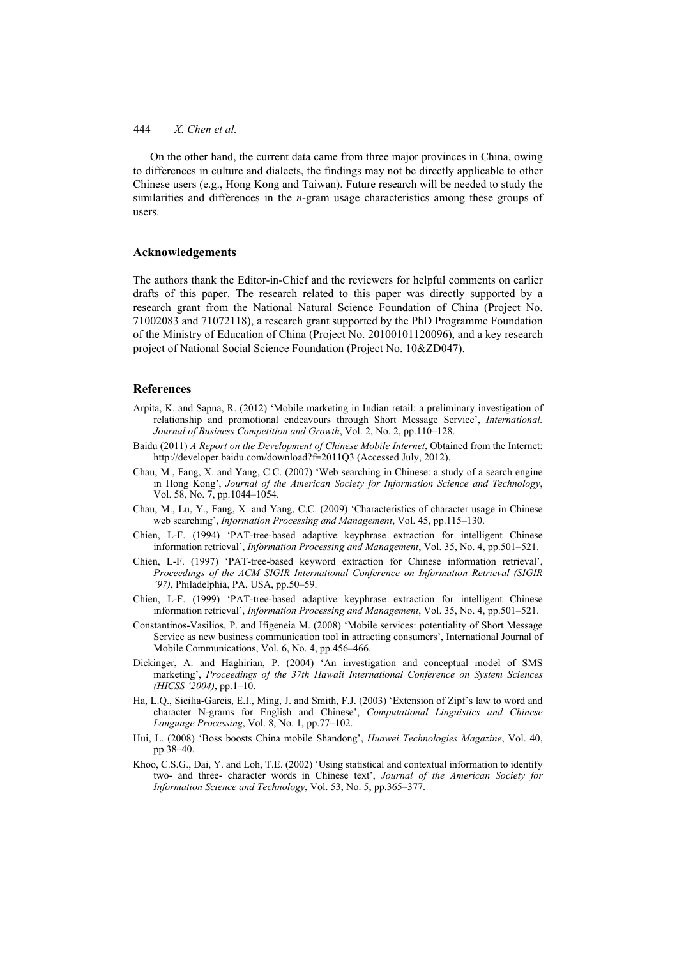On the other hand, the current data came from three major provinces in China, owing to differences in culture and dialects, the findings may not be directly applicable to other Chinese users (e.g., Hong Kong and Taiwan). Future research will be needed to study the similarities and differences in the *n*-gram usage characteristics among these groups of users.

#### **Acknowledgements**

The authors thank the Editor-in-Chief and the reviewers for helpful comments on earlier drafts of this paper. The research related to this paper was directly supported by a research grant from the National Natural Science Foundation of China (Project No. 71002083 and 71072118), a research grant supported by the PhD Programme Foundation of the Ministry of Education of China (Project No. 20100101120096), and a key research project of National Social Science Foundation (Project No. 10&ZD047).

#### **References**

- Arpita, K. and Sapna, R. (2012) 'Mobile marketing in Indian retail: a preliminary investigation of relationship and promotional endeavours through Short Message Service', *International. Journal of Business Competition and Growth*, Vol. 2, No. 2, pp.110–128.
- Baidu (2011) *A Report on the Development of Chinese Mobile Internet*, Obtained from the Internet: http://developer.baidu.com/download?f=2011Q3 (Accessed July, 2012).
- Chau, M., Fang, X. and Yang, C.C. (2007) 'Web searching in Chinese: a study of a search engine in Hong Kong', *Journal of the American Society for Information Science and Technology*, Vol. 58, No. 7, pp.1044–1054.
- Chau, M., Lu, Y., Fang, X. and Yang, C.C. (2009) 'Characteristics of character usage in Chinese web searching', *Information Processing and Management*, Vol. 45, pp.115–130.
- Chien, L-F. (1994) 'PAT-tree-based adaptive keyphrase extraction for intelligent Chinese information retrieval', *Information Processing and Management*, Vol. 35, No. 4, pp.501–521.
- Chien, L-F. (1997) 'PAT-tree-based keyword extraction for Chinese information retrieval', *Proceedings of the ACM SIGIR International Conference on Information Retrieval (SIGIR '97)*, Philadelphia, PA, USA, pp.50–59.
- Chien, L-F. (1999) 'PAT-tree-based adaptive keyphrase extraction for intelligent Chinese information retrieval', *Information Processing and Management*, Vol. 35, No. 4, pp.501–521.
- Constantinos-Vasilios, P. and Ifigeneia M. (2008) 'Mobile services: potentiality of Short Message Service as new business communication tool in attracting consumers', International Journal of Mobile Communications, Vol. 6, No. 4, pp.456–466.
- Dickinger, A. and Haghirian, P. (2004) 'An investigation and conceptual model of SMS marketing', *Proceedings of the 37th Hawaii International Conference on System Sciences (HICSS '2004)*, pp.1–10.
- Ha, L.Q., Sicilia-Garcis, E.I., Ming, J. and Smith, F.J. (2003) 'Extension of Zipf's law to word and character N-grams for English and Chinese', *Computational Linguistics and Chinese Language Processing*, Vol. 8, No. 1, pp.77–102.
- Hui, L. (2008) 'Boss boosts China mobile Shandong', *Huawei Technologies Magazine*, Vol. 40, pp.38–40.
- Khoo, C.S.G., Dai, Y. and Loh, T.E. (2002) 'Using statistical and contextual information to identify two- and three- character words in Chinese text', *Journal of the American Society for Information Science and Technology*, Vol. 53, No. 5, pp.365–377.